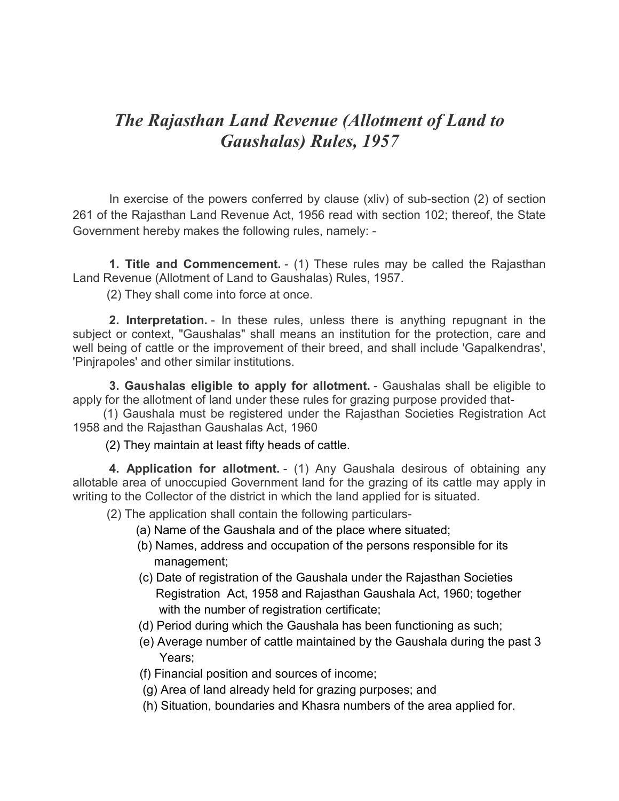# *The Rajasthan Land Revenue (Allotment of Land to Gaushalas) Rules, 1957*

In exercise of the powers conferred by clause (xliv) of sub-section (2) of section 261 of the Rajasthan Land Revenue Act, 1956 read with section 102; thereof, the State Government hereby makes the following rules, namely: -

**1. Title and Commencement.** - (1) These rules may be called the Rajasthan Land Revenue (Allotment of Land to Gaushalas) Rules, 1957.

(2) They shall come into force at once.

**2. Interpretation.** - In these rules, unless there is anything repugnant in the subject or context, "Gaushalas" shall means an institution for the protection, care and well being of cattle or the improvement of their breed, and shall include 'Gapalkendras', 'Pinjrapoles' and other similar institutions.

**3. Gaushalas eligible to apply for allotment.** - Gaushalas shall be eligible to apply for the allotment of land under these rules for grazing purpose provided that-

 (1) Gaushala must be registered under the Rajasthan Societies Registration Act 1958 and the Rajasthan Gaushalas Act, 1960

(2) They maintain at least fifty heads of cattle.

**4. Application for allotment.** - (1) Any Gaushala desirous of obtaining any allotable area of unoccupied Government land for the grazing of its cattle may apply in writing to the Collector of the district in which the land applied for is situated.

(2) The application shall contain the following particulars-

- (a) Name of the Gaushala and of the place where situated;
- (b) Names, address and occupation of the persons responsible for its management;
- (c) Date of registration of the Gaushala under the Rajasthan Societies Registration Act, 1958 and Rajasthan Gaushala Act, 1960; together with the number of registration certificate;
- (d) Period during which the Gaushala has been functioning as such;
- (e) Average number of cattle maintained by the Gaushala during the past 3 Years;
- (f) Financial position and sources of income;
- (g) Area of land already held for grazing purposes; and
- (h) Situation, boundaries and Khasra numbers of the area applied for.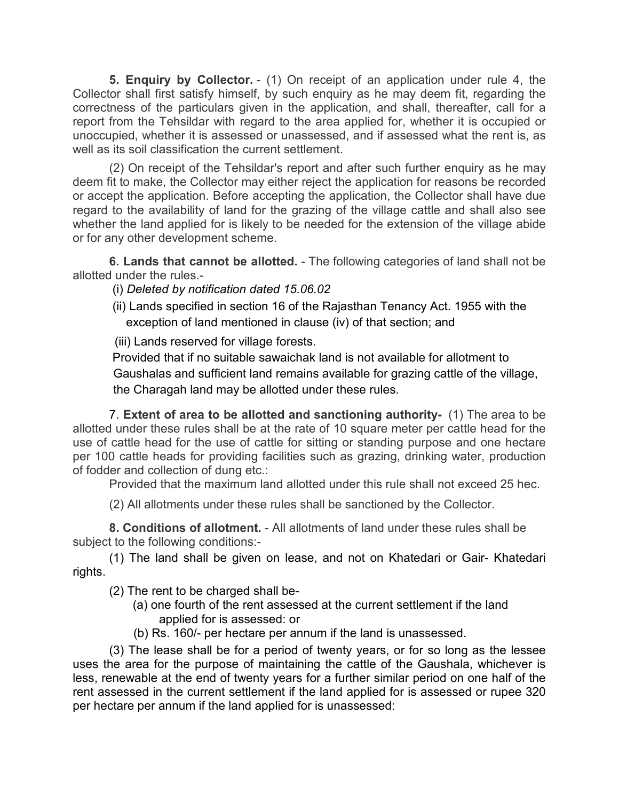**5. Enquiry by Collector.** - (1) On receipt of an application under rule 4, the Collector shall first satisfy himself, by such enquiry as he may deem fit, regarding the correctness of the particulars given in the application, and shall, thereafter, call for a report from the Tehsildar with regard to the area applied for, whether it is occupied or unoccupied, whether it is assessed or unassessed, and if assessed what the rent is, as well as its soil classification the current settlement.

(2) On receipt of the Tehsildar's report and after such further enquiry as he may deem fit to make, the Collector may either reject the application for reasons be recorded or accept the application. Before accepting the application, the Collector shall have due regard to the availability of land for the grazing of the village cattle and shall also see whether the land applied for is likely to be needed for the extension of the village abide or for any other development scheme.

**6. Lands that cannot be allotted.** - The following categories of land shall not be allotted under the rules.-

(i) *Deleted by notification dated 15.06.02* 

 (ii) Lands specified in section 16 of the Rajasthan Tenancy Act. 1955 with the exception of land mentioned in clause (iv) of that section; and

(iii) Lands reserved for village forests.

 Provided that if no suitable sawaichak land is not available for allotment to Gaushalas and sufficient land remains available for grazing cattle of the village, the Charagah land may be allotted under these rules.

7. **Extent of area to be allotted and sanctioning authority-** (1) The area to be allotted under these rules shall be at the rate of 10 square meter per cattle head for the use of cattle head for the use of cattle for sitting or standing purpose and one hectare per 100 cattle heads for providing facilities such as grazing, drinking water, production of fodder and collection of dung etc.:

Provided that the maximum land allotted under this rule shall not exceed 25 hec.

(2) All allotments under these rules shall be sanctioned by the Collector.

**8. Conditions of allotment.** - All allotments of land under these rules shall be subject to the following conditions:-

(1) The land shall be given on lease, and not on Khatedari or Gair- Khatedari rights.

(2) The rent to be charged shall be-

- (a) one fourth of the rent assessed at the current settlement if the land applied for is assessed: or
- (b) Rs. 160/- per hectare per annum if the land is unassessed.

(3) The lease shall be for a period of twenty years, or for so long as the lessee uses the area for the purpose of maintaining the cattle of the Gaushala, whichever is less, renewable at the end of twenty years for a further similar period on one half of the rent assessed in the current settlement if the land applied for is assessed or rupee 320 per hectare per annum if the land applied for is unassessed: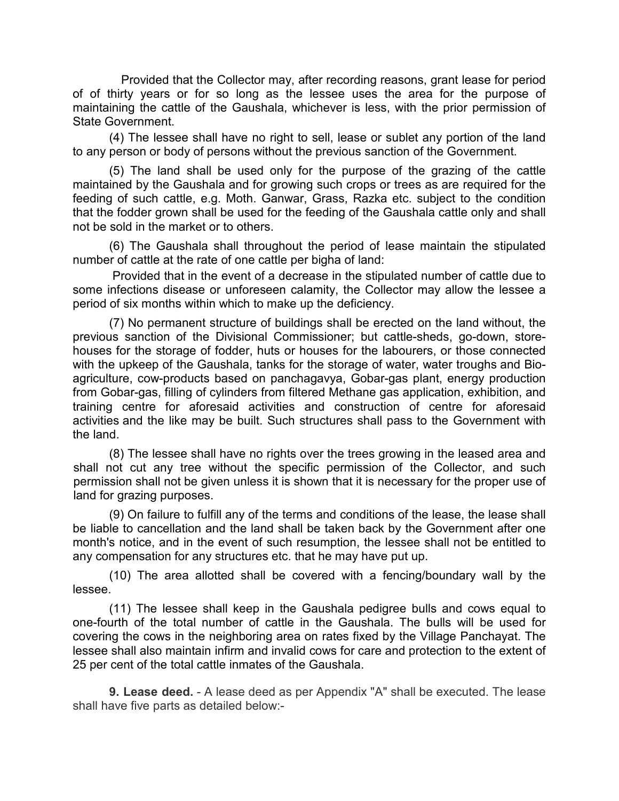Provided that the Collector may, after recording reasons, grant lease for period of of thirty years or for so long as the lessee uses the area for the purpose of maintaining the cattle of the Gaushala, whichever is less, with the prior permission of State Government.

(4) The lessee shall have no right to sell, lease or sublet any portion of the land to any person or body of persons without the previous sanction of the Government.

(5) The land shall be used only for the purpose of the grazing of the cattle maintained by the Gaushala and for growing such crops or trees as are required for the feeding of such cattle, e.g. Moth. Ganwar, Grass, Razka etc. subject to the condition that the fodder grown shall be used for the feeding of the Gaushala cattle only and shall not be sold in the market or to others.

(6) The Gaushala shall throughout the period of lease maintain the stipulated number of cattle at the rate of one cattle per bigha of land:

 Provided that in the event of a decrease in the stipulated number of cattle due to some infections disease or unforeseen calamity, the Collector may allow the lessee a period of six months within which to make up the deficiency.

(7) No permanent structure of buildings shall be erected on the land without, the previous sanction of the Divisional Commissioner; but cattle-sheds, go-down, storehouses for the storage of fodder, huts or houses for the labourers, or those connected with the upkeep of the Gaushala, tanks for the storage of water, water troughs and Bioagriculture, cow-products based on panchagavya, Gobar-gas plant, energy production from Gobar-gas, filling of cylinders from filtered Methane gas application, exhibition, and training centre for aforesaid activities and construction of centre for aforesaid activities and the like may be built. Such structures shall pass to the Government with the land.

(8) The lessee shall have no rights over the trees growing in the leased area and shall not cut any tree without the specific permission of the Collector, and such permission shall not be given unless it is shown that it is necessary for the proper use of land for grazing purposes.

(9) On failure to fulfill any of the terms and conditions of the lease, the lease shall be liable to cancellation and the land shall be taken back by the Government after one month's notice, and in the event of such resumption, the lessee shall not be entitled to any compensation for any structures etc. that he may have put up.

(10) The area allotted shall be covered with a fencing/boundary wall by the lessee.

(11) The lessee shall keep in the Gaushala pedigree bulls and cows equal to one-fourth of the total number of cattle in the Gaushala. The bulls will be used for covering the cows in the neighboring area on rates fixed by the Village Panchayat. The lessee shall also maintain infirm and invalid cows for care and protection to the extent of 25 per cent of the total cattle inmates of the Gaushala.

**9. Lease deed.** - A lease deed as per Appendix "A" shall be executed. The lease shall have five parts as detailed below:-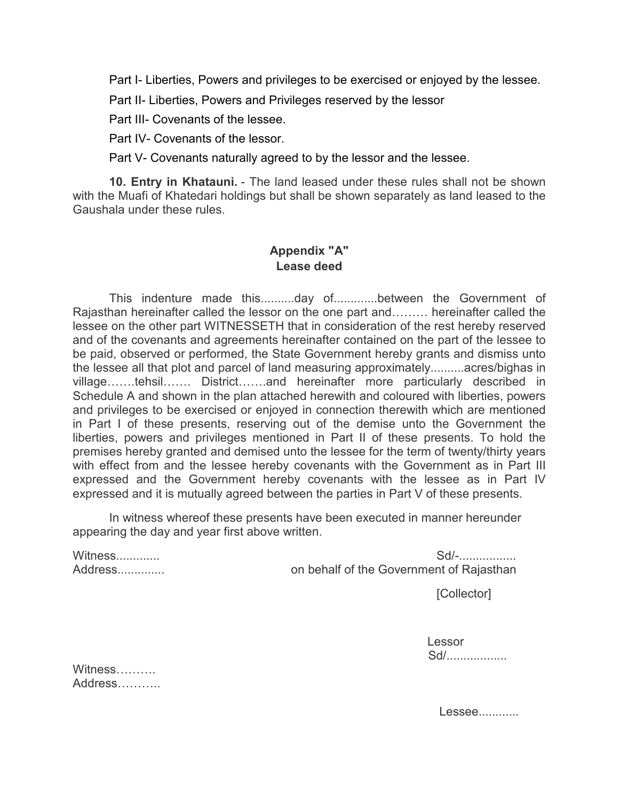Part I- Liberties, Powers and privileges to be exercised or enjoyed by the lessee.

Part II- Liberties, Powers and Privileges reserved by the lessor

Part III- Covenants of the lessee.

Part IV- Covenants of the lessor.

Part V- Covenants naturally agreed to by the lessor and the lessee.

**10. Entry in Khatauni.** - The land leased under these rules shall not be shown with the Muafi of Khatedari holdings but shall be shown separately as land leased to the Gaushala under these rules.

# **Appendix "A" Lease deed**

This indenture made this..........day of.............between the Government of Rajasthan hereinafter called the lessor on the one part and……… hereinafter called the lessee on the other part WITNESSETH that in consideration of the rest hereby reserved and of the covenants and agreements hereinafter contained on the part of the lessee to be paid, observed or performed, the State Government hereby grants and dismiss unto the lessee all that plot and parcel of land measuring approximately..........acres/bighas in village…….tehsil……. District…….and hereinafter more particularly described in Schedule A and shown in the plan attached herewith and coloured with liberties, powers and privileges to be exercised or enjoyed in connection therewith which are mentioned in Part I of these presents, reserving out of the demise unto the Government the liberties, powers and privileges mentioned in Part II of these presents. To hold the premises hereby granted and demised unto the lessee for the term of twenty/thirty years with effect from and the lessee hereby covenants with the Government as in Part III expressed and the Government hereby covenants with the lessee as in Part IV expressed and it is mutually agreed between the parties in Part V of these presents.

In witness whereof these presents have been executed in manner hereunder appearing the day and year first above written.

| Witness | $Sd$ -                                   |
|---------|------------------------------------------|
| Address | on behalf of the Government of Rajasthan |

[Collector]

**Lessor** Sd/..................

| Witness |  |
|---------|--|
| Address |  |

Lessee............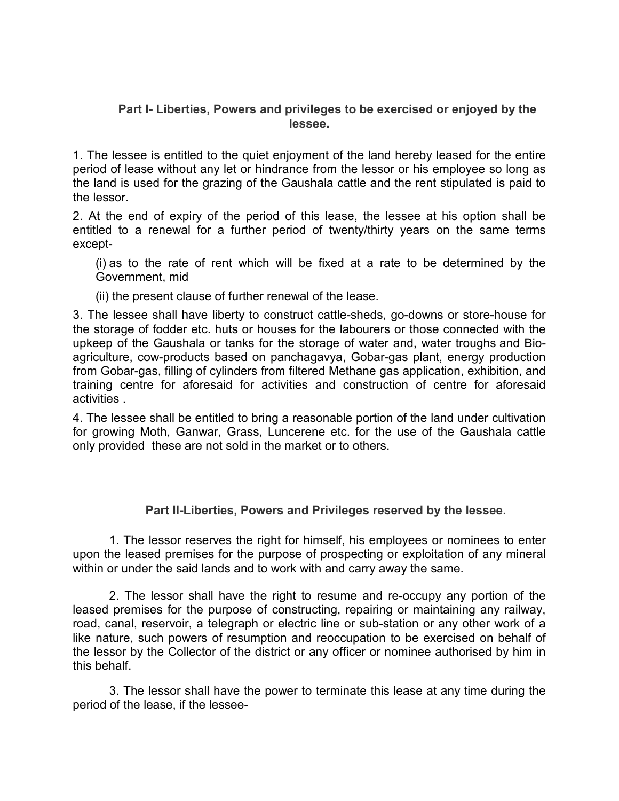#### **Part I- Liberties, Powers and privileges to be exercised or enjoyed by the lessee.**

1. The lessee is entitled to the quiet enjoyment of the land hereby leased for the entire period of lease without any let or hindrance from the lessor or his employee so long as the land is used for the grazing of the Gaushala cattle and the rent stipulated is paid to the lessor.

2. At the end of expiry of the period of this lease, the lessee at his option shall be entitled to a renewal for a further period of twenty/thirty years on the same terms except-

(i) as to the rate of rent which will be fixed at a rate to be determined by the Government, mid

(ii) the present clause of further renewal of the lease.

3. The lessee shall have liberty to construct cattle-sheds, go-downs or store-house for the storage of fodder etc. huts or houses for the labourers or those connected with the upkeep of the Gaushala or tanks for the storage of water and, water troughs and Bioagriculture, cow-products based on panchagavya, Gobar-gas plant, energy production from Gobar-gas, filling of cylinders from filtered Methane gas application, exhibition, and training centre for aforesaid for activities and construction of centre for aforesaid activities .

4. The lessee shall be entitled to bring a reasonable portion of the land under cultivation for growing Moth, Ganwar, Grass, Luncerene etc. for the use of the Gaushala cattle only provided these are not sold in the market or to others.

## **Part II-Liberties, Powers and Privileges reserved by the lessee.**

1. The lessor reserves the right for himself, his employees or nominees to enter upon the leased premises for the purpose of prospecting or exploitation of any mineral within or under the said lands and to work with and carry away the same.

2. The lessor shall have the right to resume and re-occupy any portion of the leased premises for the purpose of constructing, repairing or maintaining any railway, road, canal, reservoir, a telegraph or electric line or sub-station or any other work of a like nature, such powers of resumption and reoccupation to be exercised on behalf of the lessor by the Collector of the district or any officer or nominee authorised by him in this behalf.

3. The lessor shall have the power to terminate this lease at any time during the period of the lease, if the lessee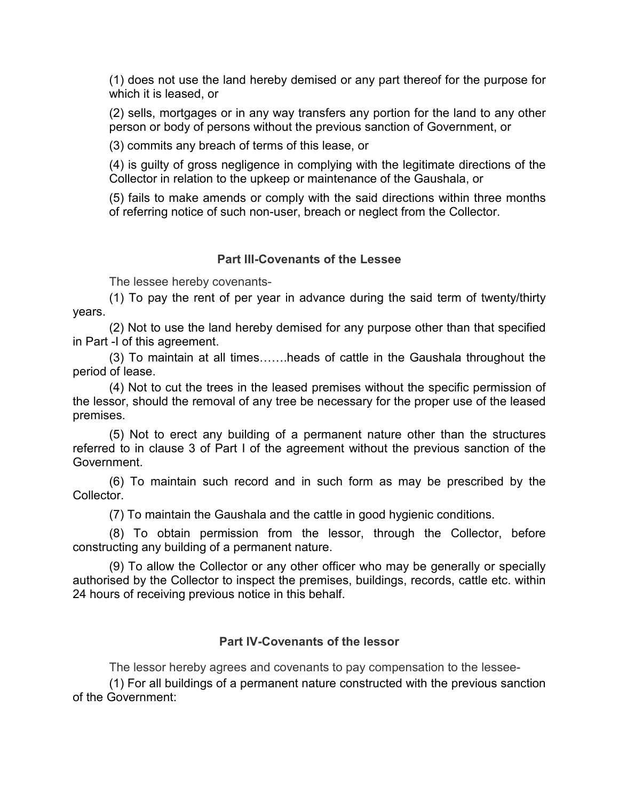(1) does not use the land hereby demised or any part thereof for the purpose for which it is leased, or

(2) sells, mortgages or in any way transfers any portion for the land to any other person or body of persons without the previous sanction of Government, or

(3) commits any breach of terms of this lease, or

(4) is guilty of gross negligence in complying with the legitimate directions of the Collector in relation to the upkeep or maintenance of the Gaushala, or

(5) fails to make amends or comply with the said directions within three months of referring notice of such non-user, breach or neglect from the Collector.

## **Part III-Covenants of the Lessee**

The lessee hereby covenants-

(1) To pay the rent of per year in advance during the said term of twenty/thirty years.

(2) Not to use the land hereby demised for any purpose other than that specified in Part -I of this agreement.

(3) To maintain at all times…….heads of cattle in the Gaushala throughout the period of lease.

(4) Not to cut the trees in the leased premises without the specific permission of the lessor, should the removal of any tree be necessary for the proper use of the leased premises.

(5) Not to erect any building of a permanent nature other than the structures referred to in clause 3 of Part I of the agreement without the previous sanction of the Government.

(6) To maintain such record and in such form as may be prescribed by the Collector.

(7) To maintain the Gaushala and the cattle in good hygienic conditions.

(8) To obtain permission from the lessor, through the Collector, before constructing any building of a permanent nature.

(9) To allow the Collector or any other officer who may be generally or specially authorised by the Collector to inspect the premises, buildings, records, cattle etc. within 24 hours of receiving previous notice in this behalf.

#### **Part IV-Covenants of the lessor**

The lessor hereby agrees and covenants to pay compensation to the lessee-

(1) For all buildings of a permanent nature constructed with the previous sanction of the Government: